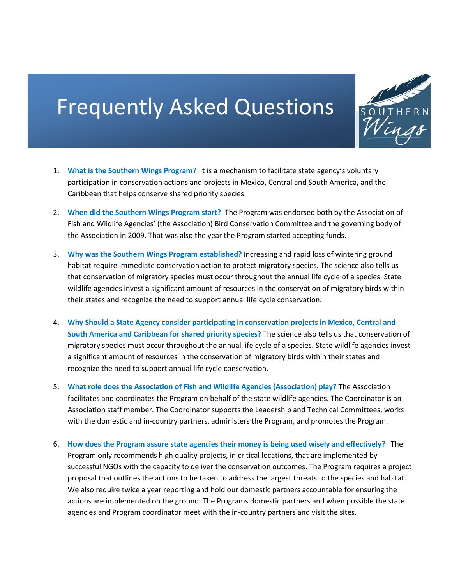## Frequently Asked Questions



- 1. **What is the Southern Wings Program?** It is a mechanism to facilitate state agency's voluntary participation in conservation actions and projects in Mexico, Central and South America, and the Caribbean that helps conserve shared priority species.
- 2. **When did the Southern Wings Program start?** The Program was endorsed both by the Association of Fish and Wildlife Agencies' (the Association) Bird Conservation Committee and the governing body of the Association in 2009. That was also the year the Program started accepting funds.
- 3. **Why was the Southern Wings Program established?** Increasing and rapid loss of wintering ground habitat require immediate conservation action to protect migratory species. The science also tells us that conservation of migratory species must occur throughout the annual life cycle of a species. State wildlife agencies invest a significant amount of resources in the conservation of migratory birds within their states and recognize the need to support annual life cycle conservation.
- 4. **Why Should a State Agency consider participating in conservation projects in Mexico, Central and South America and Caribbean for shared priority species?** The science also tells us that conservation of migratory species must occur throughout the annual life cycle of a species. State wildlife agencies invest a significant amount of resources in the conservation of migratory birds within their states and recognize the need to support annual life cycle conservation.
- 5. **What role does the Association of Fish and Wildlife Agencies (Association) play?** The Association facilitates and coordinates the Program on behalf of the state wildlife agencies. The Coordinator is an Association staff member. The Coordinator supports the Leadership and Technical Committees, works with the domestic and in-country partners, administers the Program, and promotes the Program.
- 6. **How does the Program assure state agencies their money is being used wisely and effectively?** The Program only recommends high quality projects, in critical locations, that are implemented by successful NGOs with the capacity to deliver the conservation outcomes. The Program requires a project proposal that outlines the actions to be taken to address the largest threats to the species and habitat. We also require twice a year reporting and hold our domestic partners accountable for ensuring the actions are implemented on the ground. The Programs domestic partners and when possible the state agencies and Program coordinator meet with the in-country partners and visit the sites.